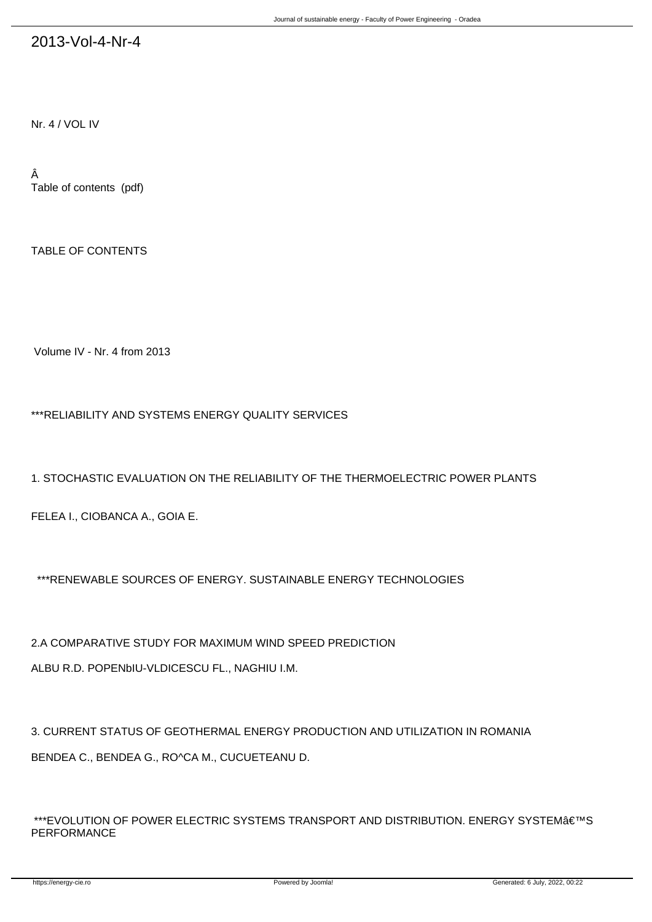## 2013-Vol-4-Nr-4

Nr. 4 / VOL IV

Â Table of contents (pdf)

TABLE OF CONTENTS

Volume IV - Nr. 4 from 2013

\*\*\*RELIABILITY AND SYSTEMS ENERGY QUALITY SERVICES

1. STOCHASTIC EVALUATION ON THE RELIABILITY OF THE THERMOELECTRIC POWER PLANTS

FELEA I., CIOBANCA A., GOIA E.

\*\*\*RENEWABLE SOURCES OF ENERGY. SUSTAINABLE ENERGY TECHNOLOGIES

2.A COMPARATIVE STUDY FOR MAXIMUM WIND SPEED PREDICTION ALBU R.D. POPENbIU-VL-DICESCU FL., NAGHIU I.M.

3. CURRENT STATUS OF GEOTHERMAL ENERGY PRODUCTION AND UTILIZATION IN ROMANIA BENDEA C., BENDEA G., RO^CA M., CUCUETEANU D.

\*\*\*EVOLUTION OF POWER ELECTRIC SYSTEMS TRANSPORT AND DISTRIBUTION. ENERGY SYSTEM'S PERFORMANCE